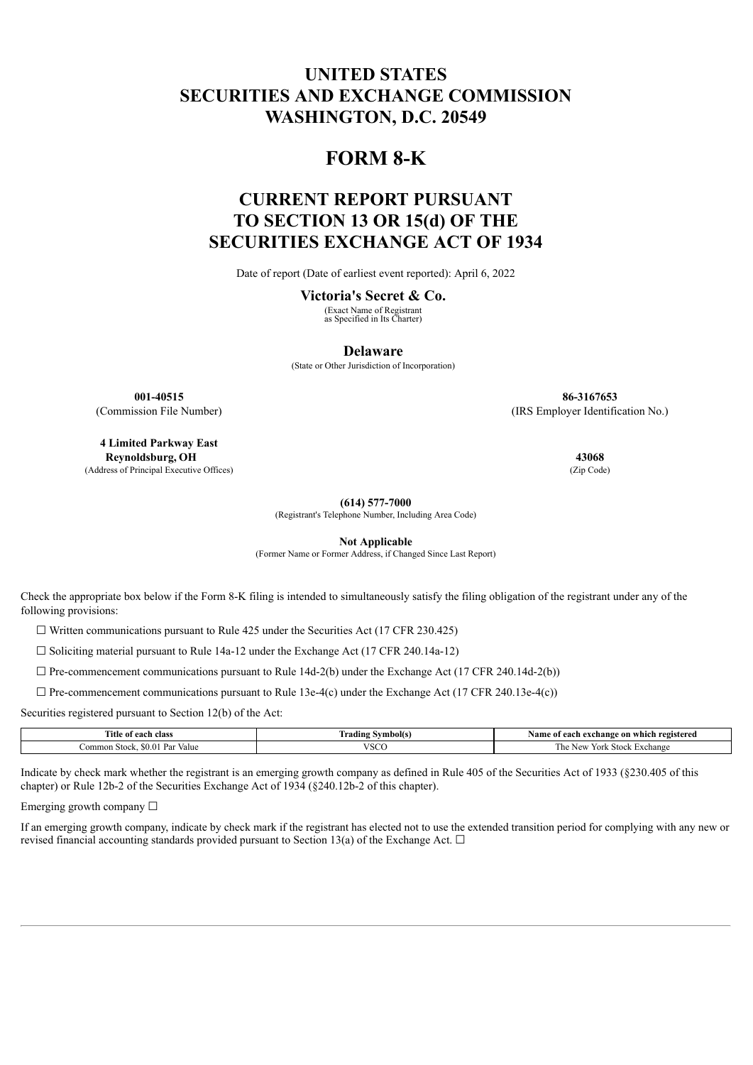# **UNITED STATES SECURITIES AND EXCHANGE COMMISSION WASHINGTON, D.C. 20549**

# **FORM 8-K**

# **CURRENT REPORT PURSUANT TO SECTION 13 OR 15(d) OF THE SECURITIES EXCHANGE ACT OF 1934**

Date of report (Date of earliest event reported): April 6, 2022

#### **Victoria's Secret & Co.**

(Exact Name of Registrant as Specified in Its Charter)

**Delaware**

(State or Other Jurisdiction of Incorporation)

**4 Limited Parkway East Reynoldsburg, OH 43068** (Address of Principal Executive Offices) (Zip Code)

**001-40515 86-3167653** (Commission File Number) (IRS Employer Identification No.)

**(614) 577-7000**

(Registrant's Telephone Number, Including Area Code)

**Not Applicable**

(Former Name or Former Address, if Changed Since Last Report)

Check the appropriate box below if the Form 8-K filing is intended to simultaneously satisfy the filing obligation of the registrant under any of the following provisions:

 $\Box$  Written communications pursuant to Rule 425 under the Securities Act (17 CFR 230.425)

 $\Box$  Soliciting material pursuant to Rule 14a-12 under the Exchange Act (17 CFR 240.14a-12)

 $\Box$  Pre-commencement communications pursuant to Rule 14d-2(b) under the Exchange Act (17 CFR 240.14d-2(b))

 $\Box$  Pre-commencement communications pursuant to Rule 13e-4(c) under the Exchange Act (17 CFR 240.13e-4(c))

Securities registered pursuant to Section 12(b) of the Act:

| Title of each class              | --<br>rading<br>Symbol <sub>is</sub> | registered ו<br>Name<br>e of each exchange on which- |
|----------------------------------|--------------------------------------|------------------------------------------------------|
| . Par<br>50.O<br>Stock.<br>Value | <b>VSCC</b>                          | Stock<br>xchange<br>York<br>. IN L.<br>$-11$         |

Indicate by check mark whether the registrant is an emerging growth company as defined in Rule 405 of the Securities Act of 1933 (§230.405 of this chapter) or Rule 12b-2 of the Securities Exchange Act of 1934 (§240.12b-2 of this chapter).

Emerging growth company  $\Box$ 

If an emerging growth company, indicate by check mark if the registrant has elected not to use the extended transition period for complying with any new or revised financial accounting standards provided pursuant to Section 13(a) of the Exchange Act.  $\Box$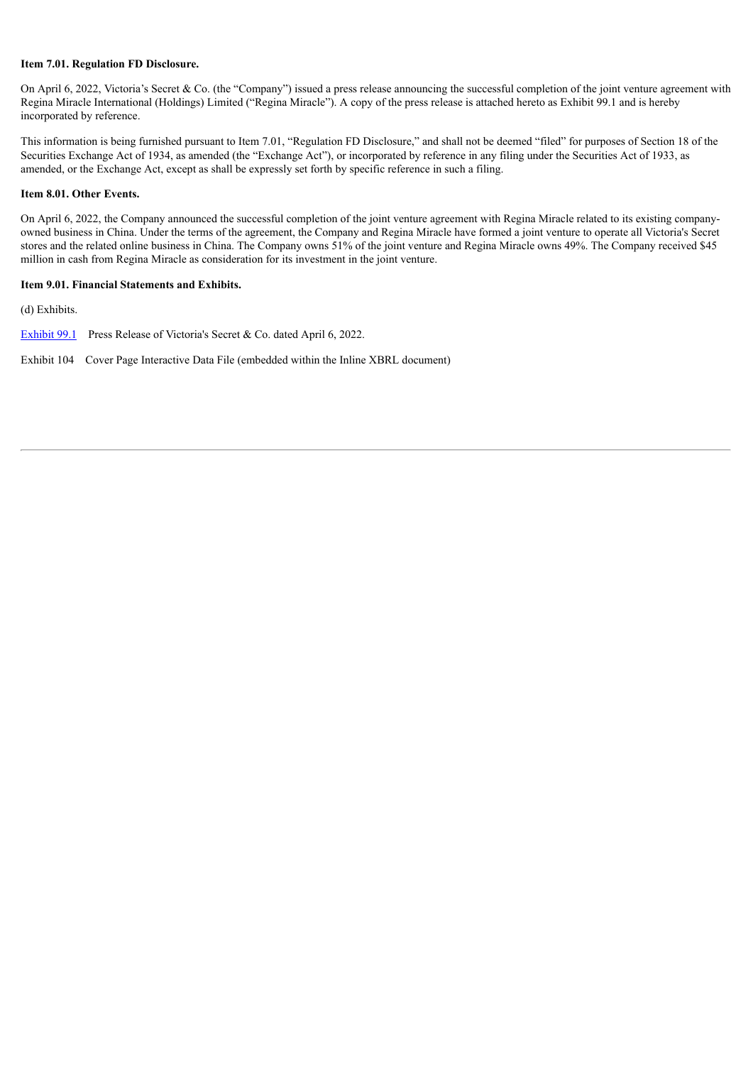#### **Item 7.01. Regulation FD Disclosure.**

On April 6, 2022, Victoria's Secret & Co. (the "Company") issued a press release announcing the successful completion of the joint venture agreement with Regina Miracle International (Holdings) Limited ("Regina Miracle"). A copy of the press release is attached hereto as Exhibit 99.1 and is hereby incorporated by reference.

This information is being furnished pursuant to Item 7.01, "Regulation FD Disclosure," and shall not be deemed "filed" for purposes of Section 18 of the Securities Exchange Act of 1934, as amended (the "Exchange Act"), or incorporated by reference in any filing under the Securities Act of 1933, as amended, or the Exchange Act, except as shall be expressly set forth by specific reference in such a filing.

#### **Item 8.01. Other Events.**

On April 6, 2022, the Company announced the successful completion of the joint venture agreement with Regina Miracle related to its existing companyowned business in China. Under the terms of the agreement, the Company and Regina Miracle have formed a joint venture to operate all Victoria's Secret stores and the related online business in China. The Company owns 51% of the joint venture and Regina Miracle owns 49%. The Company received \$45 million in cash from Regina Miracle as consideration for its investment in the joint venture.

#### **Item 9.01. Financial Statements and Exhibits.**

(d) Exhibits.

[Exhibit](#page-3-0) 99.1 Press Release of Victoria's Secret & Co. dated April 6, 2022.

Exhibit 104 Cover Page Interactive Data File (embedded within the Inline XBRL document)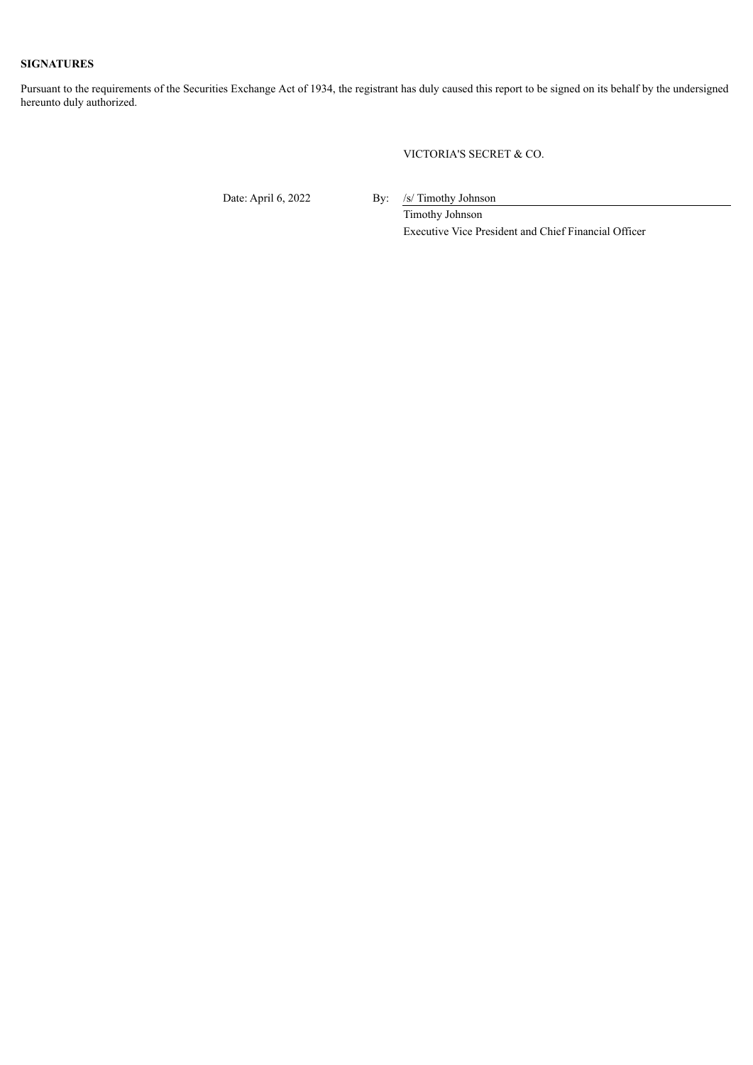#### **SIGNATURES**

Pursuant to the requirements of the Securities Exchange Act of 1934, the registrant has duly caused this report to be signed on its behalf by the undersigned hereunto duly authorized.

VICTORIA'S SECRET & CO.

Date: April 6, 2022 By: /s/ Timothy Johnson

Timothy Johnson Executive Vice President and Chief Financial Officer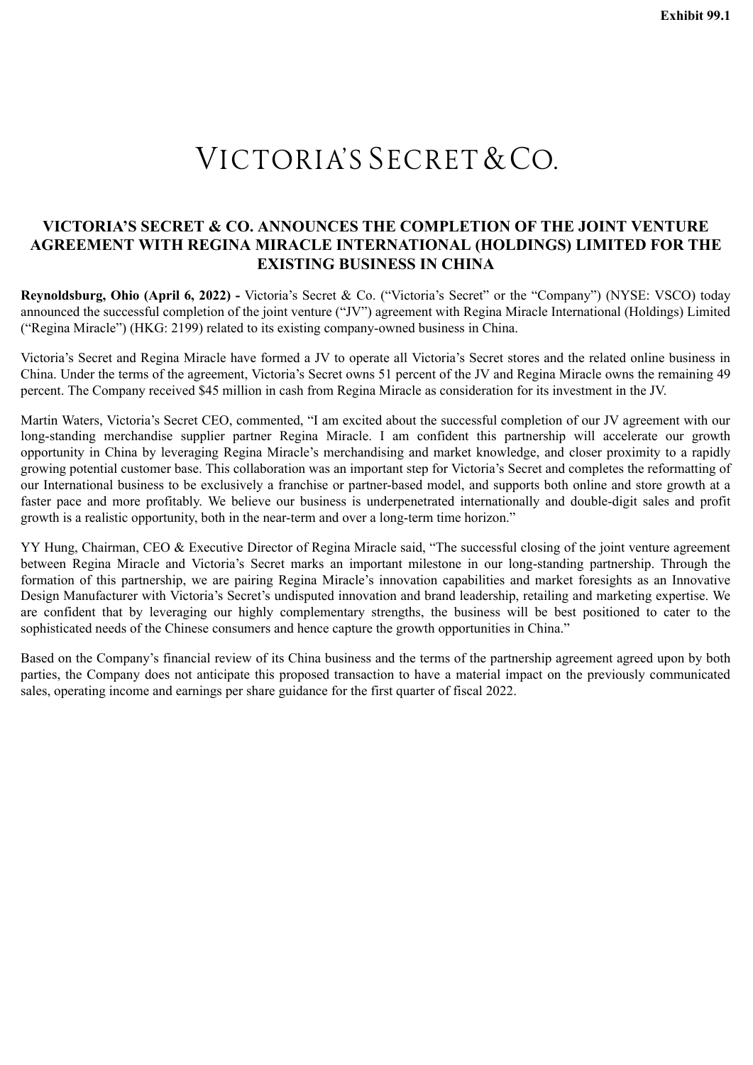# VICTORIA'S SECRET & CO.

## <span id="page-3-0"></span>**VICTORIA'S SECRET & CO. ANNOUNCES THE COMPLETION OF THE JOINT VENTURE AGREEMENT WITH REGINA MIRACLE INTERNATIONAL (HOLDINGS) LIMITED FOR THE EXISTING BUSINESS IN CHINA**

**Reynoldsburg, Ohio (April 6, 2022) -** Victoria's Secret & Co. ("Victoria's Secret" or the "Company") (NYSE: VSCO) today announced the successful completion of the joint venture ("JV") agreement with Regina Miracle International (Holdings) Limited ("Regina Miracle") (HKG: 2199) related to its existing company-owned business in China.

Victoria's Secret and Regina Miracle have formed a JV to operate all Victoria's Secret stores and the related online business in China. Under the terms of the agreement, Victoria's Secret owns 51 percent of the JV and Regina Miracle owns the remaining 49 percent. The Company received \$45 million in cash from Regina Miracle as consideration for its investment in the JV.

Martin Waters, Victoria's Secret CEO, commented, "I am excited about the successful completion of our JV agreement with our long-standing merchandise supplier partner Regina Miracle. I am confident this partnership will accelerate our growth opportunity in China by leveraging Regina Miracle's merchandising and market knowledge, and closer proximity to a rapidly growing potential customer base. This collaboration was an important step for Victoria's Secret and completes the reformatting of our International business to be exclusively a franchise or partner-based model, and supports both online and store growth at a faster pace and more profitably. We believe our business is underpenetrated internationally and double-digit sales and profit growth is a realistic opportunity, both in the near-term and over a long-term time horizon."

YY Hung, Chairman, CEO & Executive Director of Regina Miracle said, "The successful closing of the joint venture agreement between Regina Miracle and Victoria's Secret marks an important milestone in our long-standing partnership. Through the formation of this partnership, we are pairing Regina Miracle's innovation capabilities and market foresights as an Innovative Design Manufacturer with Victoria's Secret's undisputed innovation and brand leadership, retailing and marketing expertise. We are confident that by leveraging our highly complementary strengths, the business will be best positioned to cater to the sophisticated needs of the Chinese consumers and hence capture the growth opportunities in China."

Based on the Company's financial review of its China business and the terms of the partnership agreement agreed upon by both parties, the Company does not anticipate this proposed transaction to have a material impact on the previously communicated sales, operating income and earnings per share guidance for the first quarter of fiscal 2022.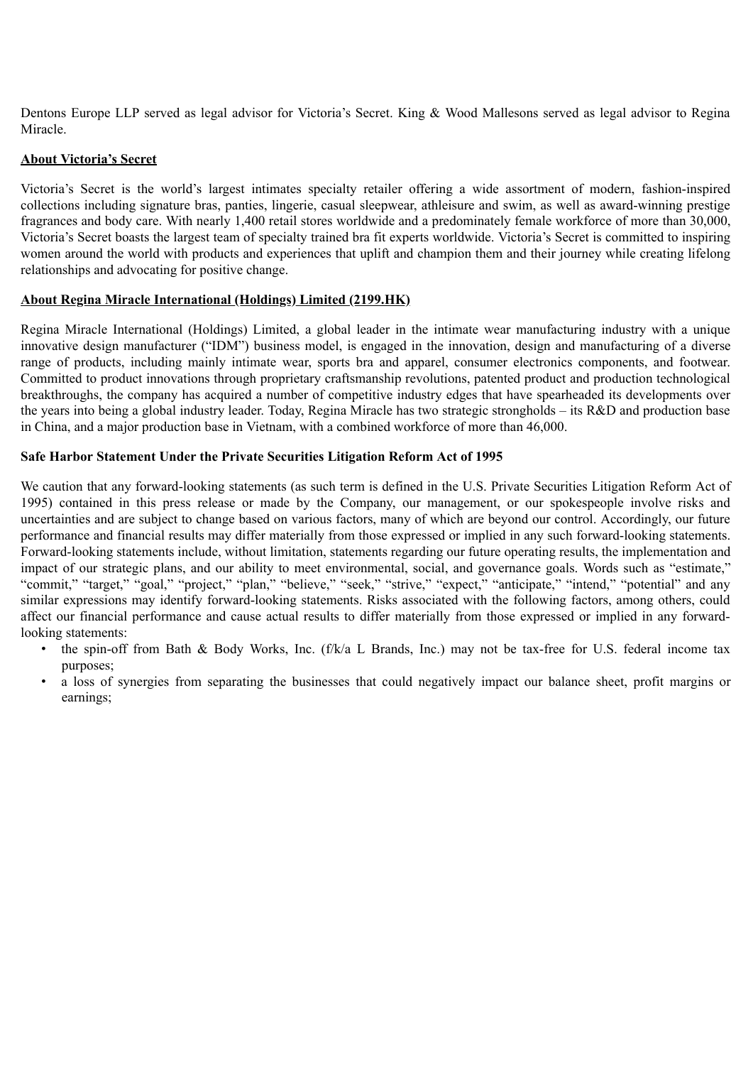Dentons Europe LLP served as legal advisor for Victoria's Secret. King & Wood Mallesons served as legal advisor to Regina Miracle.

## **About Victoria's Secret**

Victoria's Secret is the world's largest intimates specialty retailer offering a wide assortment of modern, fashion-inspired collections including signature bras, panties, lingerie, casual sleepwear, athleisure and swim, as well as award-winning prestige fragrances and body care. With nearly 1,400 retail stores worldwide and a predominately female workforce of more than 30,000, Victoria's Secret boasts the largest team of specialty trained bra fit experts worldwide. Victoria's Secret is committed to inspiring women around the world with products and experiences that uplift and champion them and their journey while creating lifelong relationships and advocating for positive change.

## **About Regina Miracle International (Holdings) Limited (2199.HK)**

Regina Miracle International (Holdings) Limited, a global leader in the intimate wear manufacturing industry with a unique innovative design manufacturer ("IDM") business model, is engaged in the innovation, design and manufacturing of a diverse range of products, including mainly intimate wear, sports bra and apparel, consumer electronics components, and footwear. Committed to product innovations through proprietary craftsmanship revolutions, patented product and production technological breakthroughs, the company has acquired a number of competitive industry edges that have spearheaded its developments over the years into being a global industry leader. Today, Regina Miracle has two strategic strongholds – its R&D and production base in China, and a major production base in Vietnam, with a combined workforce of more than 46,000.

### **Safe Harbor Statement Under the Private Securities Litigation Reform Act of 1995**

We caution that any forward-looking statements (as such term is defined in the U.S. Private Securities Litigation Reform Act of 1995) contained in this press release or made by the Company, our management, or our spokespeople involve risks and uncertainties and are subject to change based on various factors, many of which are beyond our control. Accordingly, our future performance and financial results may differ materially from those expressed or implied in any such forward-looking statements. Forward-looking statements include, without limitation, statements regarding our future operating results, the implementation and impact of our strategic plans, and our ability to meet environmental, social, and governance goals. Words such as "estimate," "commit," "target," "goal," "project," "plan," "believe," "seek," "strive," "expect," "anticipate," "intend," "potential" and any similar expressions may identify forward-looking statements. Risks associated with the following factors, among others, could affect our financial performance and cause actual results to differ materially from those expressed or implied in any forwardlooking statements:

- the spin-off from Bath & Body Works, Inc. (f/k/a L Brands, Inc.) may not be tax-free for U.S. federal income tax purposes;
- a loss of synergies from separating the businesses that could negatively impact our balance sheet, profit margins or earnings;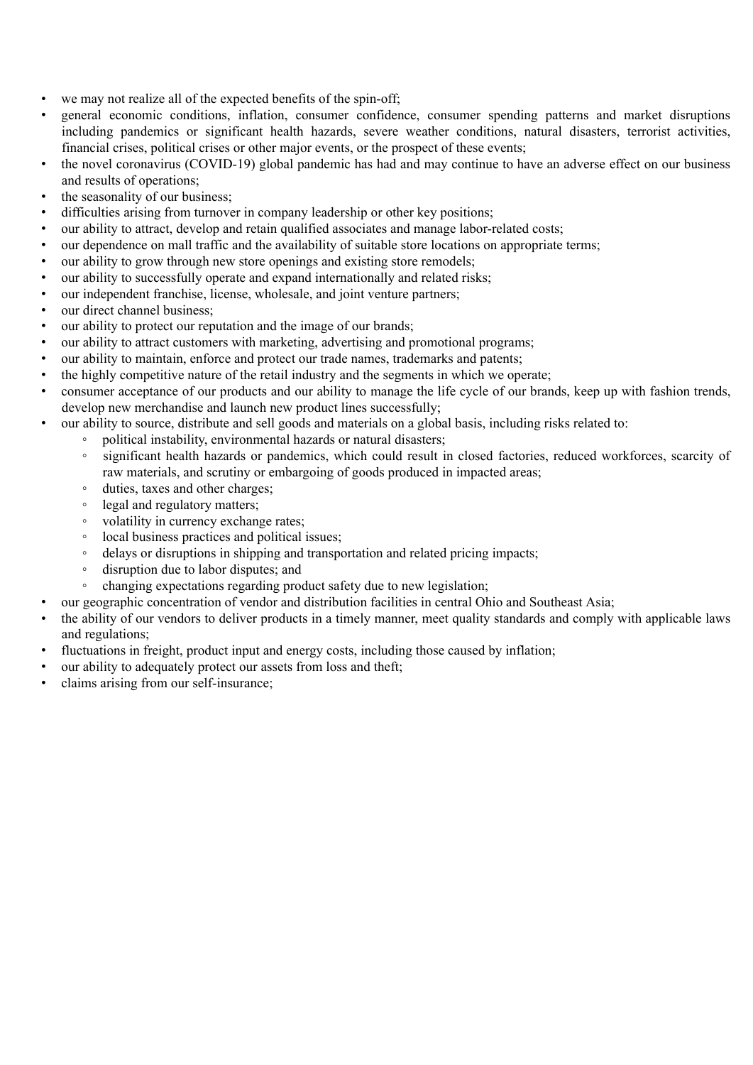- we may not realize all of the expected benefits of the spin-off;
- general economic conditions, inflation, consumer confidence, consumer spending patterns and market disruptions including pandemics or significant health hazards, severe weather conditions, natural disasters, terrorist activities, financial crises, political crises or other major events, or the prospect of these events;
- the novel coronavirus (COVID-19) global pandemic has had and may continue to have an adverse effect on our business and results of operations;
- the seasonality of our business;
- difficulties arising from turnover in company leadership or other key positions;
- our ability to attract, develop and retain qualified associates and manage labor-related costs;
- our dependence on mall traffic and the availability of suitable store locations on appropriate terms;
- our ability to grow through new store openings and existing store remodels;
- our ability to successfully operate and expand internationally and related risks;
- our independent franchise, license, wholesale, and joint venture partners;
- our direct channel business;
- our ability to protect our reputation and the image of our brands;
- our ability to attract customers with marketing, advertising and promotional programs;
- our ability to maintain, enforce and protect our trade names, trademarks and patents;
- the highly competitive nature of the retail industry and the segments in which we operate;
- consumer acceptance of our products and our ability to manage the life cycle of our brands, keep up with fashion trends, develop new merchandise and launch new product lines successfully;
- our ability to source, distribute and sell goods and materials on a global basis, including risks related to:
	- political instability, environmental hazards or natural disasters;
	- significant health hazards or pandemics, which could result in closed factories, reduced workforces, scarcity of raw materials, and scrutiny or embargoing of goods produced in impacted areas;
	- duties, taxes and other charges;
	- legal and regulatory matters;
	- volatility in currency exchange rates;
	- local business practices and political issues;
	- delays or disruptions in shipping and transportation and related pricing impacts;
	- disruption due to labor disputes; and
	- changing expectations regarding product safety due to new legislation;
- our geographic concentration of vendor and distribution facilities in central Ohio and Southeast Asia;
- the ability of our vendors to deliver products in a timely manner, meet quality standards and comply with applicable laws and regulations;
- fluctuations in freight, product input and energy costs, including those caused by inflation;
- our ability to adequately protect our assets from loss and theft;
- claims arising from our self-insurance;